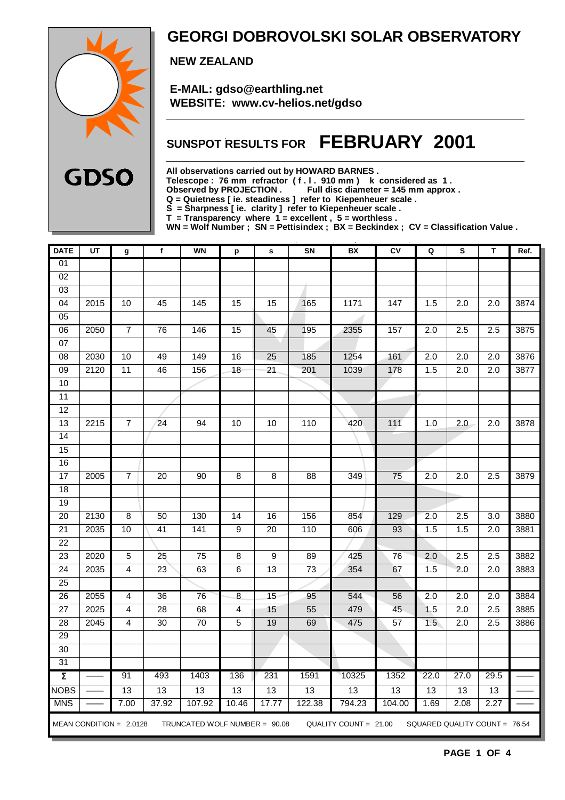

### **GEORGI DOBROVOLSKI SOLAR OBSERVATORY**

 **NEW ZEALAND**

 **E-MAIL: gdso@earthling.net WEBSITE: www.cv-helios.net/gdso**

### **SUNSPOT RESULTS FOR FEBRUARY 2001**

**All observations carried out by HOWARD BARNES .**

**Telescope : 76 mm refractor ( f . l . 910 mm ) k considered as 1 .**

Observed by PROJECTION . Full disc diameter = 145 mm approx .

**Q = Quietness [ ie. steadiness ] refer to Kiepenheuer scale .**

**S = Sharpness [ ie. clarity ] refer to Kiepenheuer scale .**

**T = Transparency where 1 = excellent , 5 = worthless .**

**WN = Wolf Number ; SN = Pettisindex ; BX = Beckindex ; CV = Classification Value .**

| <b>DATE</b>     | UT   | g                         | $\mathbf f$     | <b>WN</b>                     | p               | $\mathbf s$     | SN              | BX                    | CV               | Q                | s                             | т                | Ref. |
|-----------------|------|---------------------------|-----------------|-------------------------------|-----------------|-----------------|-----------------|-----------------------|------------------|------------------|-------------------------------|------------------|------|
| 01              |      |                           |                 |                               |                 |                 |                 |                       |                  |                  |                               |                  |      |
| $\overline{02}$ |      |                           |                 |                               |                 |                 |                 |                       |                  |                  |                               |                  |      |
| 03              |      |                           |                 |                               |                 |                 |                 |                       |                  |                  |                               |                  |      |
| 04              | 2015 | 10                        | 45              | 145                           | $\overline{15}$ | $\overline{15}$ | 165             | 1171                  | 147              | 1.5              | $\overline{2.0}$              | 2.0              | 3874 |
| 05              |      |                           |                 |                               |                 |                 |                 |                       |                  |                  |                               |                  |      |
| 06              | 2050 | $\overline{7}$            | $\overline{76}$ | 146                           | $\overline{15}$ | 45              | 195             | 2355                  | 157              | $\overline{2.0}$ | $\overline{2.5}$              | 2.5              | 3875 |
| 07              |      |                           |                 |                               |                 |                 |                 |                       |                  |                  |                               |                  |      |
| 08              | 2030 | 10                        | 49              | 149                           | 16              | 25              | 185             | 1254                  | 161              | 2.0              | $\overline{2.0}$              | 2.0              | 3876 |
| $\overline{09}$ | 2120 | $\overline{11}$           | 46              | 156                           | $\overline{18}$ | 21              | 201             | 1039                  | 178              | 1.5              | 2.0                           | $\overline{2.0}$ | 3877 |
| 10              |      |                           |                 |                               |                 |                 |                 |                       |                  |                  |                               |                  |      |
| 11              |      |                           |                 |                               |                 |                 |                 |                       |                  |                  |                               |                  |      |
| $\overline{12}$ |      |                           |                 |                               |                 |                 |                 |                       |                  |                  |                               |                  |      |
| $\overline{13}$ | 2215 | $\overline{7}$            | $\overline{24}$ | $\overline{94}$               | 10              | $\overline{10}$ | 110             | 420                   | $\overline{111}$ | 1.0              | 2.0                           | $\overline{2.0}$ | 3878 |
| 14              |      |                           |                 |                               |                 |                 |                 |                       |                  |                  |                               |                  |      |
| 15              |      |                           |                 |                               |                 |                 |                 |                       |                  |                  |                               |                  |      |
| 16              |      |                           |                 |                               |                 |                 |                 |                       |                  |                  |                               |                  |      |
| 17              | 2005 | $\overline{7}$            | $\overline{20}$ | $\overline{90}$               | $\overline{8}$  | $\overline{8}$  | $\overline{88}$ | 349                   | $\overline{75}$  | $\overline{2.0}$ | $\overline{2.0}$              | 2.5              | 3879 |
| $\overline{18}$ |      |                           |                 |                               |                 |                 |                 |                       |                  |                  |                               |                  |      |
| 19              |      |                           |                 |                               |                 |                 |                 |                       |                  |                  |                               |                  |      |
| $\overline{20}$ | 2130 | 8                         | 50              | 130                           | $\overline{14}$ | 16              | 156             | 854                   | 129              | 2.0              | $\overline{2.5}$              | $\overline{3.0}$ | 3880 |
| $\overline{21}$ | 2035 | 10                        | $\overline{41}$ | 141                           | $\overline{9}$  | $\overline{20}$ | 110             | 606                   | 93               | 1.5              | 1.5                           | 2.0              | 3881 |
| 22              |      |                           |                 |                               |                 |                 |                 |                       |                  |                  |                               |                  |      |
| 23              | 2020 | $\overline{5}$            | $\overline{25}$ | $\overline{75}$               | $\overline{8}$  | 9               | 89              | 425                   | 76               | 2.0              | 2.5                           | 2.5              | 3882 |
| $\overline{24}$ | 2035 | $\overline{4}$            | 23              | 63                            | $\overline{6}$  | 13              | 73              | 354                   | 67               | 1.5              | 2.0                           | 2.0              | 3883 |
| $\overline{25}$ |      |                           |                 |                               |                 |                 |                 |                       |                  |                  |                               |                  |      |
| $\overline{26}$ | 2055 | $\overline{4}$            | 36              | 76                            | $\infty$        | 15              | 95              | 544                   | 56               | $\overline{2.0}$ | $\overline{2.0}$              | 2.0              | 3884 |
| $\overline{27}$ | 2025 | $\overline{4}$            | 28              | 68                            | $\overline{4}$  | 15              | 55              | 479                   | 45               | 1.5              | $\overline{2.0}$              | 2.5              | 3885 |
| 28              | 2045 | $\overline{\mathbf{4}}$   | $\overline{30}$ | $\overline{70}$               | 5               | 19              | 69              | 475                   | 57               | 1.5              | 2.0                           | 2.5              | 3886 |
| $\overline{29}$ |      |                           |                 |                               |                 |                 |                 |                       |                  |                  |                               |                  |      |
| $\overline{30}$ |      |                           |                 |                               |                 |                 |                 |                       |                  |                  |                               |                  |      |
| 31              |      |                           |                 |                               |                 |                 |                 |                       |                  |                  |                               |                  |      |
| Σ               |      | 91                        | 493             | 1403                          | 136             | 231             | 1591            | 10325                 | 1352             | 22.0             | 27.0                          | 29.5             |      |
| <b>NOBS</b>     |      | 13                        | 13              | 13                            | 13              | 13              | 13              | 13                    | 13               | 13               | 13                            | 13               |      |
| <b>MNS</b>      |      | 7.00                      | 37.92           | 107.92                        | 10.46           | 17.77           | 122.38          | 794.23                | 104.00           | 1.69             | 2.08                          | 2.27             |      |
|                 |      | MEAN CONDITION = $2.0128$ |                 | TRUNCATED WOLF NUMBER = 90.08 |                 |                 |                 | QUALITY COUNT = 21.00 |                  |                  | SQUARED QUALITY COUNT = 76.54 |                  |      |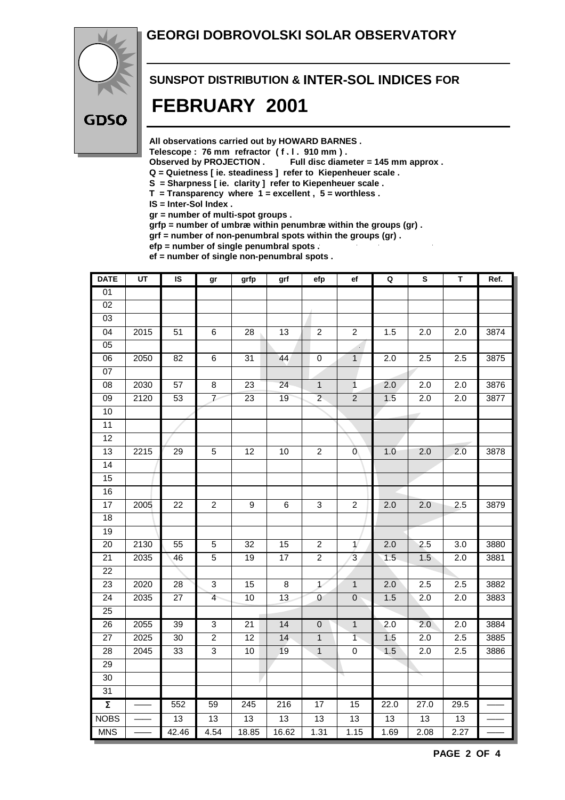#### **GEORGI DOBROVOLSKI SOLAR OBSERVATORY**



## **SUNSPOT DISTRIBUTION & INTER-SOL INDICES FOR FEBRUARY 2001**

**All observations carried out by HOWARD BARNES .**

Telescope : 76 mm refractor (f. l. 910 mm).<br>Observed by PROJECTION . Full disc diam

Full disc diameter = 145 mm approx .

- **Q = Quietness [ ie. steadiness ] refer to Kiepenheuer scale .**
- **S = Sharpness [ ie. clarity ] refer to Kiepenheuer scale .**
- **T = Transparency where 1 = excellent , 5 = worthless .**
- **IS = Inter-Sol Index .**

**gr = number of multi-spot groups .**

**grfp = number of umbræ within penumbræ within the groups (gr) .**

**grf = number of non-penumbral spots within the groups (gr) .**

**efp = number of single penumbral spots .**

**ef = number of single non-penumbral spots .**

| <b>DATE</b>         | $\overline{\mathsf{u}}$ | IS              | gr               | grfp            | grf             | efp             | ef                          | $\mathbf Q$      | S                | T                | Ref. |
|---------------------|-------------------------|-----------------|------------------|-----------------|-----------------|-----------------|-----------------------------|------------------|------------------|------------------|------|
| 01                  |                         |                 |                  |                 |                 |                 |                             |                  |                  |                  |      |
| $\overline{02}$     |                         |                 |                  |                 |                 |                 |                             |                  |                  |                  |      |
| $\overline{03}$     |                         |                 |                  |                 |                 |                 |                             |                  |                  |                  |      |
| 04                  | 2015                    | $\overline{51}$ | $\overline{6}$   | $\overline{28}$ | $\overline{13}$ | $\overline{2}$  | $\overline{2}$              | 1.5              | $\overline{2.0}$ | $\overline{2.0}$ | 3874 |
| $\overline{05}$     |                         |                 |                  |                 |                 |                 | $\mathcal{L}_{\mathcal{A}}$ |                  |                  |                  |      |
| $\overline{06}$     | 2050                    | $\overline{82}$ | $\overline{6}$   | $\overline{31}$ | 44              | $\overline{0}$  | $\overline{1}$              | 2.0              | 2.5              | 2.5              | 3875 |
| $\overline{07}$     |                         |                 |                  |                 |                 |                 |                             |                  |                  |                  |      |
| $\overline{08}$     | 2030                    | 57              | $\overline{8}$   | 23              | $\overline{24}$ | $\overline{1}$  | $\mathbf{1}$                | 2.0              | $\overline{2.0}$ | 2.0              | 3876 |
| $\overline{09}$     | 2120                    | 53              | $\overline{V}$   | $\overline{23}$ | 19              | $\overline{2}$  | $\overline{2}$              | 1.5              | $\overline{2.0}$ | 2.0              | 3877 |
| 10                  |                         |                 |                  |                 |                 |                 |                             |                  |                  |                  |      |
| $\overline{11}$     |                         |                 |                  |                 |                 |                 |                             |                  |                  |                  |      |
| $\overline{12}$     |                         |                 |                  |                 |                 |                 |                             |                  |                  |                  |      |
| $\overline{13}$     | 2215                    | 29              | $\overline{5}$   | $\overline{12}$ | $\overline{10}$ | $\overline{2}$  | Ō,                          | 1.0              | 2.0              | 2.0              | 3878 |
| $\overline{14}$     |                         |                 |                  |                 |                 |                 |                             |                  |                  |                  |      |
| $\overline{15}$     |                         |                 |                  |                 |                 |                 |                             |                  |                  |                  |      |
| 16                  |                         |                 |                  |                 |                 |                 |                             |                  |                  |                  |      |
| $\overline{17}$     | 2005                    | 22              | $\boldsymbol{2}$ | 9               | $\,6$           | 3               | $\overline{c}$              | 2.0              | 2.0              | 2.5              | 3879 |
| $\overline{18}$     |                         |                 |                  |                 |                 |                 |                             |                  |                  |                  |      |
| $\overline{19}$     |                         |                 |                  |                 |                 |                 |                             |                  |                  |                  |      |
| $\overline{20}$     | 2130                    | 55              | 5                | 32              | 15              | $\overline{2}$  | $\mathbf{1}$                | $\overline{2.0}$ | 2.5              | 3.0              | 3880 |
| 21                  | 2035                    | 46              | $\overline{5}$   | 19              | $\overline{17}$ | $\overline{2}$  | 3                           | 1.5              | 1.5              | 2.0              | 3881 |
| 22                  |                         |                 |                  |                 |                 |                 |                             |                  |                  |                  |      |
| 23                  | 2020                    | $\overline{28}$ | $\mathbf 3$      | 15              | $\bf 8$         | $\mathcal{L}$   | $\mathbf{1}$                | 2.0              | 2.5              | 2.5              | 3882 |
| $\overline{24}$     | 2035                    | $\overline{27}$ | $\overline{4}$   | 10              | 13              | $\pmb{0}$       | $\mathbf 0$                 | 1.5              | 2.0              | 2.0              | 3883 |
| 25                  |                         |                 |                  |                 |                 |                 |                             |                  |                  |                  |      |
| $\overline{26}$     | 2055                    | 39              | $\overline{3}$   | 21              | $\overline{14}$ | $\pmb{0}$       | $\mathbf{1}$                | $\overline{2.0}$ | 2.0              | 2.0              | 3884 |
| $\overline{27}$     | 2025                    | 30              | $\overline{2}$   | $\overline{12}$ | 14              | $\mathbf{1}$    | $\overline{1}$              | 1.5              | 2.0              | 2.5              | 3885 |
| 28                  | 2045                    | 33              | $\mathfrak{S}$   | 10              | 19              | $\mathbf{1}$    | $\pmb{0}$                   | 1.5              | 2.0              | 2.5              | 3886 |
| $\overline{29}$     |                         |                 |                  |                 |                 |                 |                             |                  |                  |                  |      |
| 30                  |                         |                 |                  |                 |                 |                 |                             |                  |                  |                  |      |
| 31                  |                         |                 |                  |                 |                 |                 |                             |                  |                  |                  |      |
| $\overline{\Sigma}$ |                         | 552             | 59               | 245             | 216             | 17              | 15                          | 22.0             | 27.0             | 29.5             |      |
| <b>NOBS</b>         |                         | $\overline{13}$ | $\overline{13}$  | $\overline{13}$ | 13              | $\overline{13}$ | 13                          | $\overline{13}$  | $\overline{13}$  | $\overline{13}$  |      |
| <b>MNS</b>          |                         | 42.46           | 4.54             | 18.85           | 16.62           | 1.31            | 1.15                        | 1.69             | 2.08             | 2.27             |      |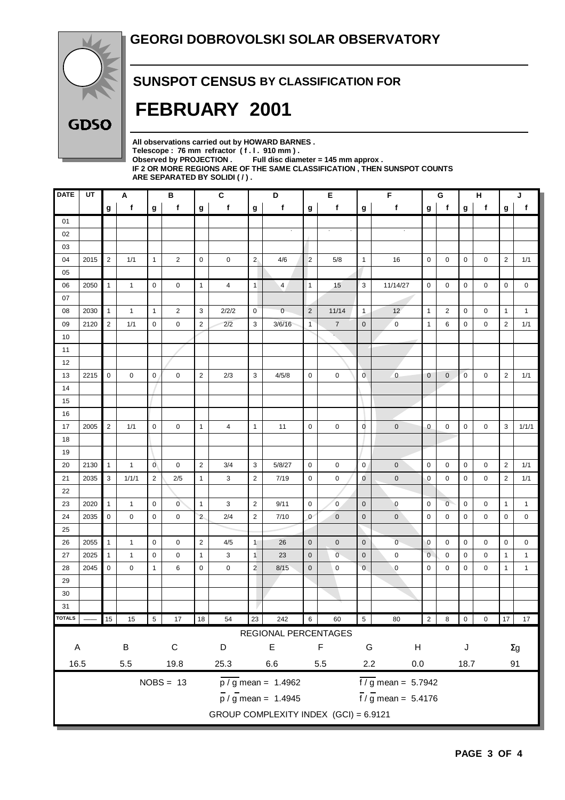

#### **SUNSPOT CENSUS BY CLASSIFICATION FOR**

## **FEBRUARY 2001**

**All observations carried out by HOWARD BARNES .** Telescope : 76 mm refractor (f. l. 910 mm).<br>Observed by PROJECTION . Full disc diam Full disc diameter = 145 mm approx . **IF 2 OR MORE REGIONS ARE OF THE SAME CLASSIFICATION , THEN SUNSPOT COUNTS ARE SEPARATED BY SOLIDI ( / ) .**

| <b>DATE</b>  | UT   |                | Α            |              | В              |                | $\mathbf{C}$ |                | D                                     |                | Е              | F                        |                                 | G            |                     | н            |                | J                |              |
|--------------|------|----------------|--------------|--------------|----------------|----------------|--------------|----------------|---------------------------------------|----------------|----------------|--------------------------|---------------------------------|--------------|---------------------|--------------|----------------|------------------|--------------|
|              |      | g              | $\mathbf{f}$ | g            | f              | g              | f            | g              | f                                     | g              | f              | g                        | f                               | g            | $\mathbf f$         | g            | $\mathbf f$    | g                | f            |
| 01           |      |                |              |              |                |                |              |                |                                       |                |                |                          |                                 |              |                     |              |                |                  |              |
| 02           |      |                |              |              |                |                |              |                |                                       |                |                |                          |                                 |              |                     |              |                |                  |              |
| 03           |      |                |              |              |                |                |              |                |                                       |                |                |                          |                                 |              |                     |              |                |                  |              |
| 04           | 2015 | $\overline{2}$ | 1/1          | $\mathbf{1}$ | 2              | $\mathbf 0$    | 0            | 2 <sub>1</sub> | 4/6                                   | $\overline{c}$ | 5/8            | $\mathbf{1}$             | 16                              | $\mathbf 0$  | 0                   | 0            | 0              | $\boldsymbol{2}$ | 1/1          |
| 05           |      |                |              |              |                |                |              |                |                                       |                |                |                          |                                 |              |                     |              |                |                  |              |
| 06           | 2050 | $\mathbf{1}$   | $\mathbf{1}$ | $\mathbf 0$  | $\mathbf 0$    | $\mathbf{1}$   | 4            | 1              | $\overline{4}$                        | $\mathbf{1}$   | 15             | 3                        | 11/14/27                        | $\mathbf 0$  | 0                   | 0            | 0              | $\mathbf 0$      | $\mathbf 0$  |
| 07           |      |                |              |              |                |                |              |                |                                       |                |                |                          |                                 |              |                     |              |                |                  |              |
| 08           | 2030 | $\mathbf{1}$   | $\mathbf{1}$ | $\mathbf{1}$ | $\overline{2}$ | 3              | 2/2/2        | $\overline{0}$ | $\mathbf{0}$                          | $\overline{2}$ | 11/14          | $\mathbf{1}$             | 12                              | $\mathbf{1}$ | 2                   | 0            | 0              | $\mathbf{1}$     | $\mathbf{1}$ |
| 09           | 2120 | $\overline{2}$ | 1/1          | $\mathbf 0$  | $\mathsf 0$    | $\overline{2}$ | 2/2          | 3              | 3/6/16                                | $\mathbf{1}$   | $\overline{7}$ | $\mathbf 0$              | $\mathbf 0$                     | $\mathbf{1}$ | 6                   | 0            | 0              | $\overline{2}$   | 1/1          |
| 10           |      |                |              |              |                |                |              |                |                                       |                | s.             |                          |                                 |              |                     |              |                |                  |              |
| 11           |      |                |              |              |                |                |              |                |                                       |                |                |                          |                                 |              |                     |              |                |                  |              |
| 12           |      |                |              |              |                |                |              |                |                                       |                |                |                          |                                 |              |                     |              |                |                  |              |
| 13           | 2215 | $\mathbf 0$    | 0            | 0            | 0              | $\overline{2}$ | 2/3          | 3              | 4/5/8                                 | $\mathbf 0$    | 0              | $\overline{0}$           | $\overline{0}$                  | $\mathbf 0$  | $\mathbf 0$         | $\mathbf{0}$ | 0              | $\overline{2}$   | 1/1          |
| 14           |      |                |              |              |                |                |              |                |                                       |                |                |                          |                                 |              |                     |              |                |                  |              |
| 15           |      |                |              |              |                |                |              |                |                                       |                |                |                          |                                 |              |                     |              |                |                  |              |
| 16           |      |                |              |              |                |                |              |                |                                       |                |                |                          |                                 |              |                     |              |                |                  |              |
| 17           | 2005 | $\overline{2}$ | 1/1          | $\mathbf 0$  | 0              | $\mathbf{1}$   | 4            | $\mathbf{1}$   | 11                                    | $\mathbf 0$    | 0              | $\mathbf 0$              | $\pmb{0}$                       | 0            | 0                   | 0            | 0              | 3                | 1/1/1        |
| 18           |      |                |              |              |                |                |              |                |                                       |                |                |                          |                                 |              |                     |              |                |                  |              |
| 19           |      |                |              |              |                |                |              |                |                                       |                |                |                          |                                 |              |                     |              |                |                  |              |
| 20           | 2130 | $\mathbf{1}$   | 1            | $\mathbf 0$  | 0              | $\overline{2}$ | 3/4          | 3              | 5/8/27                                | $\mathbf 0$    | 0              | $\mathbf 0$              | $\mathbf 0$                     | $\mathbf 0$  | 0                   | 0            | 0              | $\overline{2}$   | 1/1          |
| 21           | 2035 | 3              | 1/1/1        | 2            | 2/5            | $\mathbf{1}$   | 3            | $\overline{2}$ | 7/19                                  | $\mathbf 0$    | 0              | $\mathbf 0$              | $\pmb{0}$                       | 0            | 0                   | 0            | 0              | $\overline{2}$   | 1/1          |
| 22           |      |                |              |              |                |                |              |                |                                       |                |                |                          |                                 |              |                     |              |                |                  |              |
| 23           | 2020 | $\mathbf{1}$   | $\mathbf{1}$ | $\mathbf 0$  | $\overline{0}$ | $\mathbf{1}$   | 3            | $\overline{2}$ | 9/11                                  | 0              | $\pmb{0}$      | $\mathbf 0$              | $\mathbf 0$                     | $\mathbf 0$  | $\overline{0}$      | 0            | 0              | $\mathbf{1}$     | $\mathbf{1}$ |
| 24           | 2035 | $\mathbf 0$    | 0            | $\mathbf 0$  | 0              | $\overline{2}$ | 2/4          | $\overline{2}$ | 7/10                                  | $\mathbf{0}$   | $\pmb{0}$      | $\mathbf 0$              | $\pmb{0}$                       | $\mathbf 0$  | 0                   | 0            | 0              | 0                | 0            |
| 25           |      |                |              |              |                |                |              |                |                                       |                |                |                          |                                 |              |                     |              |                |                  |              |
| 26           | 2055 | $\mathbf{1}$   | $\mathbf{1}$ | $\mathbf 0$  | 0              | $\overline{2}$ | 4/5          | 1              | 26                                    | $\mathbf 0$    | $\mathbf 0$    | $\mathbf 0$              | $\overline{0}$                  | $\mathbf 0$  | 0                   | 0            | 0              | 0                | 0            |
| 27           | 2025 | $\mathbf{1}$   | 1            | $\mathbf 0$  | 0              | $\mathbf{1}$   | 3            | $\mathbf{1}$   | 23                                    | $\mathbf 0$    | $\overline{0}$ | $\mathbf 0$              | $\mathbf 0$                     | $\mathbf 0$  | 0                   | 0            | 0              | $\mathbf{1}$     | $\mathbf{1}$ |
| 28           | 2045 | $\mathbf 0$    | 0            | $\mathbf{1}$ | 6              | $\mathbf 0$    | 0            | $\overline{2}$ | 8/15                                  | $\mathbf 0$    | 0              | $\mathbf 0$              | 0                               | 0            | 0                   | 0            | 0              | $\mathbf{1}$     | $\mathbf{1}$ |
| 29           |      |                |              |              |                |                |              |                |                                       |                |                |                          |                                 |              |                     |              |                |                  |              |
| 30           |      |                |              |              |                |                |              |                |                                       |                |                |                          |                                 |              |                     |              |                |                  |              |
| 31           |      |                |              |              |                |                |              |                |                                       |                |                |                          |                                 |              |                     |              |                |                  |              |
| TOTALS       |      | 15             | 15           | $\sqrt{5}$   | 17             | 18             | 54           | 23             | 242                                   | 6 <sup>1</sup> | 60             | 5 <sub>1</sub>           | 80                              |              | $2 \quad 8 \quad 0$ |              | $\overline{0}$ |                  | 17 17        |
|              |      |                |              |              |                |                |              |                | REGIONAL PERCENTAGES                  |                |                |                          |                                 |              |                     |              |                |                  |              |
| $\mathsf{A}$ |      |                | $\sf B$      |              | ${\bf C}$      |                | D            |                | $\mathsf E$                           |                | $\mathsf F$    | ${\mathsf G}$<br>$\sf H$ |                                 | J            |                     |              |                |                  |              |
|              |      |                |              |              |                |                |              |                |                                       |                |                |                          |                                 | $\Sigma g$   |                     |              |                |                  |              |
| 16.5         |      |                | 5.5          |              | 19.8           |                | 25.3         |                | $6.6\,$                               |                | 5.5            | 2.2                      | $0.0\,$                         |              |                     | 18.7         |                |                  | 91           |
|              |      |                |              |              | $NOBS = 13$    |                |              |                | $\overline{p / g}$ mean = 1.4962      |                |                |                          | $\frac{1}{1}$ / g mean = 5.7942 |              |                     |              |                |                  |              |
|              |      |                |              |              |                |                |              |                | $\frac{1}{p}$ / g mean = 1.4945       |                |                |                          | $\frac{1}{1}$ / g mean = 5.4176 |              |                     |              |                |                  |              |
|              |      |                |              |              |                |                |              |                | GROUP COMPLEXITY INDEX (GCI) = 6.9121 |                |                |                          |                                 |              |                     |              |                |                  |              |
|              |      |                |              |              |                |                |              |                |                                       |                |                |                          |                                 |              |                     |              |                |                  |              |